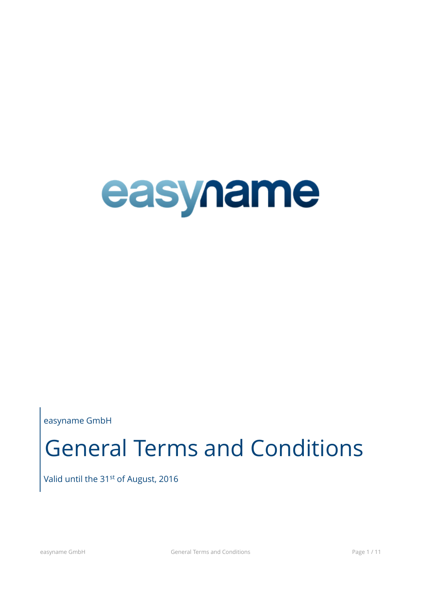

easyname GmbH

# General Terms and Conditions

Valid until the 31<sup>st</sup> of August, 2016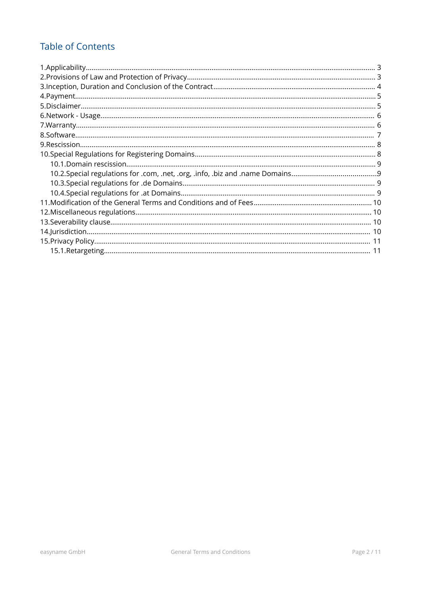# **Table of Contents**

| 10.2.Special regulations for .com, .net, .org, .info, .biz and .name Domains |  |
|------------------------------------------------------------------------------|--|
|                                                                              |  |
|                                                                              |  |
|                                                                              |  |
|                                                                              |  |
|                                                                              |  |
|                                                                              |  |
|                                                                              |  |
|                                                                              |  |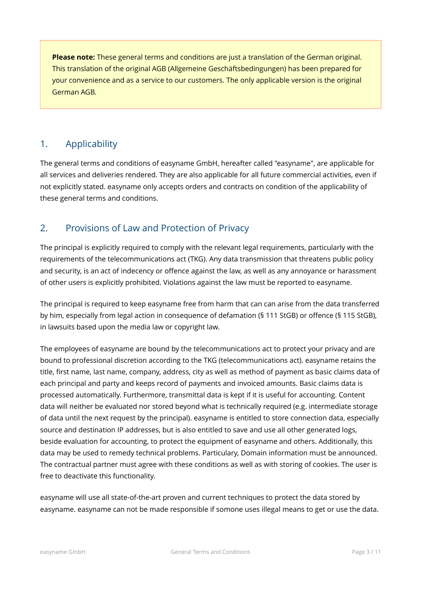**Please note:** These general terms and conditions are just a translation of the German original. This translation of the original AGB (Allgemeine Geschäftsbedingungen) has been prepared for your convenience and as a service to our customers. The only applicable version is the original German AGB.

## <span id="page-2-1"></span>1. Applicability

The general terms and conditions of easyname GmbH, hereafter called "easyname", are applicable for all services and deliveries rendered. They are also applicable for all future commercial activities, even if not explicitly stated. easyname only accepts orders and contracts on condition of the applicability of these general terms and conditions.

## <span id="page-2-0"></span>2. Provisions of Law and Protection of Privacy

The principal is explicitly required to comply with the relevant legal requirements, particularly with the requirements of the telecommunications act (TKG). Any data transmission that threatens public policy and security, is an act of indecency or offence against the law, as well as any annoyance or harassment of other users is explicitly prohibited. Violations against the law must be reported to easyname.

The principal is required to keep easyname free from harm that can can arise from the data transferred by him, especially from legal action in consequence of defamation (§ 111 StGB) or offence (§ 115 StGB), in lawsuits based upon the media law or copyright law.

The employees of easyname are bound by the telecommunications act to protect your privacy and are bound to professional discretion according to the TKG (telecommunications act). easyname retains the title, first name, last name, company, address, city as well as method of payment as basic claims data of each principal and party and keeps record of payments and invoiced amounts. Basic claims data is processed automatically. Furthermore, transmittal data is kept if it is useful for accounting. Content data will neither be evaluated nor stored beyond what is technically required (e.g. intermediate storage of data until the next request by the principal). easyname is entitled to store connection data, especially source and destination IP addresses, but is also entitled to save and use all other generated logs, beside evaluation for accounting, to protect the equipment of easyname and others. Additionally, this data may be used to remedy technical problems. Particulary, Domain information must be announced. The contractual partner must agree with these conditions as well as with storing of cookies. The user is free to deactivate this functionality.

easyname will use all state-of-the-art proven and current techniques to protect the data stored by easyname. easyname can not be made responsible if somone uses illegal means to get or use the data.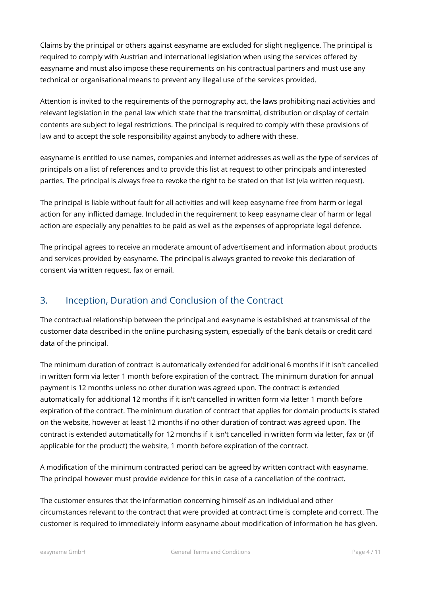Claims by the principal or others against easyname are excluded for slight negligence. The principal is required to comply with Austrian and international legislation when using the services offered by easyname and must also impose these requirements on his contractual partners and must use any technical or organisational means to prevent any illegal use of the services provided.

Attention is invited to the requirements of the pornography act, the laws prohibiting nazi activities and relevant legislation in the penal law which state that the transmittal, distribution or display of certain contents are subject to legal restrictions. The principal is required to comply with these provisions of law and to accept the sole responsibility against anybody to adhere with these.

easyname is entitled to use names, companies and internet addresses as well as the type of services of principals on a list of references and to provide this list at request to other principals and interested parties. The principal is always free to revoke the right to be stated on that list (via written request).

The principal is liable without fault for all activities and will keep easyname free from harm or legal action for any inflicted damage. Included in the requirement to keep easyname clear of harm or legal action are especially any penalties to be paid as well as the expenses of appropriate legal defence.

The principal agrees to receive an moderate amount of advertisement and information about products and services provided by easyname. The principal is always granted to revoke this declaration of consent via written request, fax or email.

# <span id="page-3-0"></span>3. Inception, Duration and Conclusion of the Contract

The contractual relationship between the principal and easyname is established at transmissal of the customer data described in the online purchasing system, especially of the bank details or credit card data of the principal.

The minimum duration of contract is automatically extended for additional 6 months if it isn't cancelled in written form via letter 1 month before expiration of the contract. The minimum duration for annual payment is 12 months unless no other duration was agreed upon. The contract is extended automatically for additional 12 months if it isn't cancelled in written form via letter 1 month before expiration of the contract. The minimum duration of contract that applies for domain products is stated on the website, however at least 12 months if no other duration of contract was agreed upon. The contract is extended automatically for 12 months if it isn't cancelled in written form via letter, fax or (if applicable for the product) the website, 1 month before expiration of the contract.

A modification of the minimum contracted period can be agreed by written contract with easyname. The principal however must provide evidence for this in case of a cancellation of the contract.

The customer ensures that the information concerning himself as an individual and other circumstances relevant to the contract that were provided at contract time is complete and correct. The customer is required to immediately inform easyname about modification of information he has given.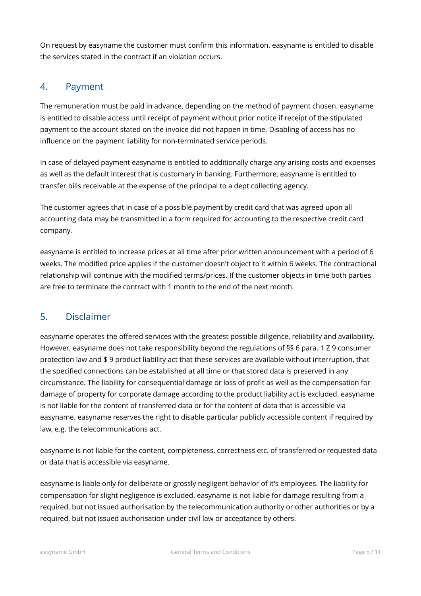On request by easyname the customer must confirm this information. easyname is entitled to disable the services stated in the contract if an violation occurs.

## <span id="page-4-1"></span>4. Payment

The remuneration must be paid in advance, depending on the method of payment chosen. easyname is entitled to disable access until receipt of payment without prior notice if receipt of the stipulated payment to the account stated on the invoice did not happen in time. Disabling of access has no influence on the payment liability for non-terminated service periods.

In case of delayed payment easyname is entitled to additionally charge any arising costs and expenses as well as the default interest that is customary in banking. Furthermore, easyname is entitled to transfer bills receivable at the expense of the principal to a dept collecting agency.

The customer agrees that in case of a possible payment by credit card that was agreed upon all accounting data may be transmitted in a form required for accounting to the respective credit card company.

easyname is entitled to increase prices at all time after prior written announcement with a period of 6 weeks. The modified price applies if the customer doesn't object to it within 6 weeks. The contractional relationship will continue with the modified terms/prices. If the customer objects in time both parties are free to terminate the contract with 1 month to the end of the next month.

## <span id="page-4-0"></span>5. Disclaimer

easyname operates the offered services with the greatest possible diligence, reliability and availability. However, easyname does not take responsibility beyond the regulations of §§ 6 para. 1 Z 9 consumer protection law and \$ 9 product liability act that these services are available without interruption, that the specified connections can be established at all time or that stored data is preserved in any circumstance. The liability for consequential damage or loss of profit as well as the compensation for damage of property for corporate damage according to the product liability act is excluded. easyname is not liable for the content of transferred data or for the content of data that is accessible via easyname. easyname reserves the right to disable particular publicly accessible content if required by law, e.g. the telecommunications act.

easyname is not liable for the content, completeness, correctness etc. of transferred or requested data or data that is accessible via easyname.

easyname is liable only for deliberate or grossly negligent behavior of it's employees. The liability for compensation for slight negligence is excluded. easyname is not liable for damage resulting from a required, but not issued authorisation by the telecommunication authority or other authorities or by a required, but not issued authorisation under civil law or acceptance by others.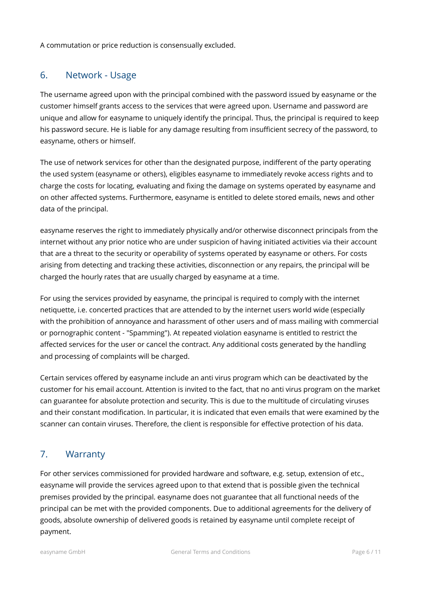A commutation or price reduction is consensually excluded.

## <span id="page-5-1"></span>6. Network - Usage

The username agreed upon with the principal combined with the password issued by easyname or the customer himself grants access to the services that were agreed upon. Username and password are unique and allow for easyname to uniquely identify the principal. Thus, the principal is required to keep his password secure. He is liable for any damage resulting from insufficient secrecy of the password, to easyname, others or himself.

The use of network services for other than the designated purpose, indifferent of the party operating the used system (easyname or others), eligibles easyname to immediately revoke access rights and to charge the costs for locating, evaluating and fixing the damage on systems operated by easyname and on other affected systems. Furthermore, easyname is entitled to delete stored emails, news and other data of the principal.

easyname reserves the right to immediately physically and/or otherwise disconnect principals from the internet without any prior notice who are under suspicion of having initiated activities via their account that are a threat to the security or operability of systems operated by easyname or others. For costs arising from detecting and tracking these activities, disconnection or any repairs, the principal will be charged the hourly rates that are usually charged by easyname at a time.

For using the services provided by easyname, the principal is required to comply with the internet netiquette, i.e. concerted practices that are attended to by the internet users world wide (especially with the prohibition of annoyance and harassment of other users and of mass mailing with commercial or pornographic content - "Spamming"). At repeated violation easyname is entitled to restrict the affected services for the user or cancel the contract. Any additional costs generated by the handling and processing of complaints will be charged.

Certain services offered by easyname include an anti virus program which can be deactivated by the customer for his email account. Attention is invited to the fact, that no anti virus program on the market can guarantee for absolute protection and security. This is due to the multitude of circulating viruses and their constant modification. In particular, it is indicated that even emails that were examined by the scanner can contain viruses. Therefore, the client is responsible for effective protection of his data.

# <span id="page-5-0"></span>7. Warranty

For other services commissioned for provided hardware and software, e.g. setup, extension of etc., easyname will provide the services agreed upon to that extend that is possible given the technical premises provided by the principal. easyname does not guarantee that all functional needs of the principal can be met with the provided components. Due to additional agreements for the delivery of goods, absolute ownership of delivered goods is retained by easyname until complete receipt of payment.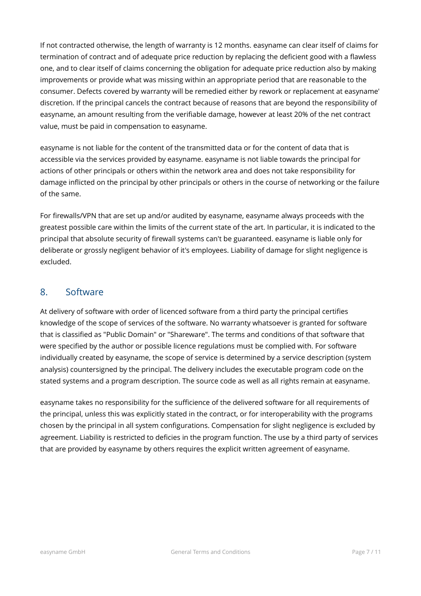If not contracted otherwise, the length of warranty is 12 months. easyname can clear itself of claims for termination of contract and of adequate price reduction by replacing the deficient good with a flawless one, and to clear itself of claims concerning the obligation for adequate price reduction also by making improvements or provide what was missing within an appropriate period that are reasonable to the consumer. Defects covered by warranty will be remedied either by rework or replacement at easyname' discretion. If the principal cancels the contract because of reasons that are beyond the responsibility of easyname, an amount resulting from the verifiable damage, however at least 20% of the net contract value, must be paid in compensation to easyname.

easyname is not liable for the content of the transmitted data or for the content of data that is accessible via the services provided by easyname. easyname is not liable towards the principal for actions of other principals or others within the network area and does not take responsibility for damage inflicted on the principal by other principals or others in the course of networking or the failure of the same.

For firewalls/VPN that are set up and/or audited by easyname, easyname always proceeds with the greatest possible care within the limits of the current state of the art. In particular, it is indicated to the principal that absolute security of firewall systems can't be guaranteed. easyname is liable only for deliberate or grossly negligent behavior of it's employees. Liability of damage for slight negligence is excluded.

## <span id="page-6-0"></span>8. Software

At delivery of software with order of licenced software from a third party the principal certifies knowledge of the scope of services of the software. No warranty whatsoever is granted for software that is classified as "Public Domain" or "Shareware". The terms and conditions of that software that were specified by the author or possible licence regulations must be complied with. For software individually created by easyname, the scope of service is determined by a service description (system analysis) countersigned by the principal. The delivery includes the executable program code on the stated systems and a program description. The source code as well as all rights remain at easyname.

easyname takes no responsibility for the sufficience of the delivered software for all requirements of the principal, unless this was explicitly stated in the contract, or for interoperability with the programs chosen by the principal in all system configurations. Compensation for slight negligence is excluded by agreement. Liability is restricted to deficies in the program function. The use by a third party of services that are provided by easyname by others requires the explicit written agreement of easyname.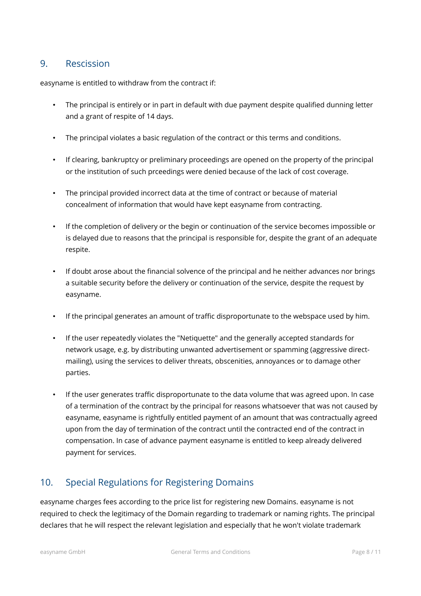## <span id="page-7-1"></span>9. Rescission

easyname is entitled to withdraw from the contract if:

- The principal is entirely or in part in default with due payment despite qualified dunning letter and a grant of respite of 14 days.
- The principal violates a basic regulation of the contract or this terms and conditions.
- If clearing, bankruptcy or preliminary proceedings are opened on the property of the principal or the institution of such prceedings were denied because of the lack of cost coverage.
- The principal provided incorrect data at the time of contract or because of material concealment of information that would have kept easyname from contracting.
- If the completion of delivery or the begin or continuation of the service becomes impossible or is delayed due to reasons that the principal is responsible for, despite the grant of an adequate respite.
- If doubt arose about the financial solvence of the principal and he neither advances nor brings a suitable security before the delivery or continuation of the service, despite the request by easyname.
- If the principal generates an amount of traffic disproportunate to the webspace used by him.
- If the user repeatedly violates the "Netiquette" and the generally accepted standards for network usage, e.g. by distributing unwanted advertisement or spamming (aggressive directmailing), using the services to deliver threats, obscenities, annoyances or to damage other parties.
- If the user generates traffic disproportunate to the data volume that was agreed upon. In case of a termination of the contract by the principal for reasons whatsoever that was not caused by easyname, easyname is rightfully entitled payment of an amount that was contractually agreed upon from the day of termination of the contract until the contracted end of the contract in compensation. In case of advance payment easyname is entitled to keep already delivered payment for services.

# <span id="page-7-0"></span>10. Special Regulations for Registering Domains

easyname charges fees according to the price list for registering new Domains. easyname is not required to check the legitimacy of the Domain regarding to trademark or naming rights. The principal declares that he will respect the relevant legislation and especially that he won't violate trademark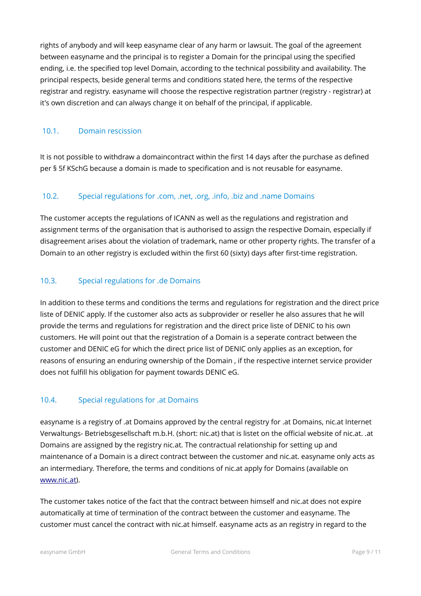rights of anybody and will keep easyname clear of any harm or lawsuit. The goal of the agreement between easyname and the principal is to register a Domain for the principal using the specified ending, i.e. the specified top level Domain, according to the technical possibility and availability. The principal respects, beside general terms and conditions stated here, the terms of the respective registrar and registry. easyname will choose the respective registration partner (registry - registrar) at it's own discretion and can always change it on behalf of the principal, if applicable.

#### <span id="page-8-3"></span>10.1. Domain rescission

It is not possible to withdraw a domaincontract within the first 14 days after the purchase as defined per § 5f KSchG because a domain is made to specification and is not reusable for easyname.

#### <span id="page-8-2"></span>10.2. Special regulations for .com, .net, .org, .info, .biz and .name Domains

The customer accepts the regulations of ICANN as well as the regulations and registration and assignment terms of the organisation that is authorised to assign the respective Domain, especially if disagreement arises about the violation of trademark, name or other property rights. The transfer of a Domain to an other registry is excluded within the first 60 (sixty) days after first-time registration.

#### <span id="page-8-1"></span>10.3. Special regulations for .de Domains

In addition to these terms and conditions the terms and regulations for registration and the direct price liste of DENIC apply. If the customer also acts as subprovider or reseller he also assures that he will provide the terms and regulations for registration and the direct price liste of DENIC to his own customers. He will point out that the registration of a Domain is a seperate contract between the customer and DENIC eG for which the direct price list of DENIC only applies as an exception, for reasons of ensuring an enduring ownership of the Domain , if the respective internet service provider does not fulfill his obligation for payment towards DENIC eG.

#### <span id="page-8-0"></span>10.4. Special regulations for .at Domains

easyname is a registry of .at Domains approved by the central registry for .at Domains, nic.at Internet Verwaltungs- Betriebsgesellschaft m.b.H. (short: nic.at) that is listet on the official website of nic.at. .at Domains are assigned by the registry nic.at. The contractual relationship for setting up and maintenance of a Domain is a direct contract between the customer and nic.at. easyname only acts as an intermediary. Therefore, the terms and conditions of nic.at apply for Domains (available on [www.nic.at\)](http://www.nic.at/).

The customer takes notice of the fact that the contract between himself and nic.at does not expire automatically at time of termination of the contract between the customer and easyname. The customer must cancel the contract with nic.at himself. easyname acts as an registry in regard to the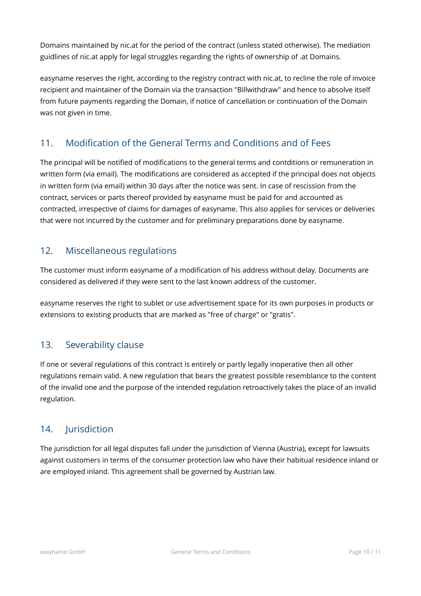Domains maintained by nic.at for the period of the contract (unless stated otherwise). The mediation guidlines of nic.at apply for legal struggles regarding the rights of ownership of .at Domains.

easyname reserves the right, according to the registry contract with nic.at, to recline the role of invoice recipient and maintainer of the Domain via the transaction "Billwithdraw" and hence to absolve itself from future payments regarding the Domain, if notice of cancellation or continuation of the Domain was not given in time.

# <span id="page-9-3"></span>11. Modification of the General Terms and Conditions and of Fees

The principal will be notified of modifications to the general terms and contditions or remuneration in written form (via email). The modifications are considered as accepted if the principal does not objects in written form (via email) within 30 days after the notice was sent. In case of rescission from the contract, services or parts thereof provided by easyname must be paid for and accounted as contracted, irrespective of claims for damages of easyname. This also applies for services or deliveries that were not incurred by the customer and for preliminary preparations done by easyname.

## <span id="page-9-2"></span>12. Miscellaneous regulations

The customer must inform easyname of a modification of his address without delay. Documents are considered as delivered if they were sent to the last known address of the customer.

easyname reserves the right to sublet or use advertisement space for its own purposes in products or extensions to existing products that are marked as "free of charge" or "gratis".

## <span id="page-9-1"></span>13. Severability clause

If one or several regulations of this contract is entirely or partly legally inoperative then all other regulations remain valid. A new regulation that bears the greatest possible resemblance to the content of the invalid one and the purpose of the intended regulation retroactively takes the place of an invalid regulation.

# <span id="page-9-0"></span>14. **Jurisdiction**

The jurisdiction for all legal disputes fall under the jurisdiction of Vienna (Austria), except for lawsuits against customers in terms of the consumer protection law who have their habitual residence inland or are employed inland. This agreement shall be governed by Austrian law.